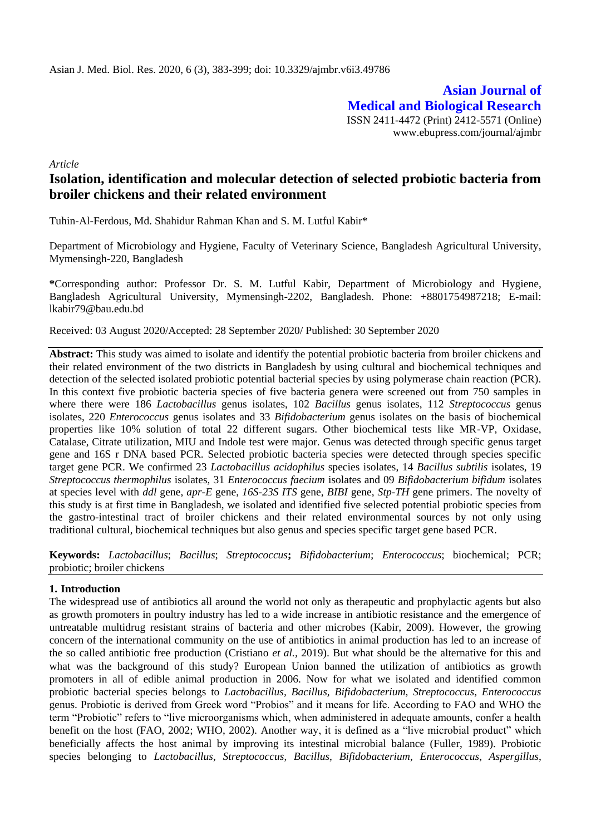**Asian Journal of Medical and Biological Research** ISSN 2411-4472 (Print) 2412-5571 (Online) www.ebupress.com/journal/ajmbr

*Article*

# **Isolation, identification and molecular detection of selected probiotic bacteria from broiler chickens and their related environment**

Tuhin-Al-Ferdous, Md. Shahidur Rahman Khan and S. M. Lutful Kabir\*

Department of Microbiology and Hygiene, Faculty of Veterinary Science, Bangladesh Agricultural University, Mymensingh-220, Bangladesh

**\***Corresponding author: Professor Dr. S. M. Lutful Kabir, Department of Microbiology and Hygiene, Bangladesh Agricultural University, Mymensingh-2202, Bangladesh. Phone: +8801754987218; E-mail: lkabir79@bau.edu.bd

Received: 03 August 2020/Accepted: 28 September 2020/ Published: 30 September 2020

**Abstract:** This study was aimed to isolate and identify the potential probiotic bacteria from broiler chickens and their related environment of the two districts in Bangladesh by using cultural and biochemical techniques and detection of the selected isolated probiotic potential bacterial species by using polymerase chain reaction (PCR). In this context five probiotic bacteria species of five bacteria genera were screened out from 750 samples in where there were 186 *Lactobacillus* genus isolates, 102 *Bacillus* genus isolates, 112 *Streptococcus* genus isolates, 220 *Enterococcus* genus isolates and 33 *Bifidobacterium* genus isolates on the basis of biochemical properties like 10% solution of total 22 different sugars. Other biochemical tests like MR-VP, Oxidase, Catalase, Citrate utilization, MIU and Indole test were major. Genus was detected through specific genus target gene and 16S r DNA based PCR. Selected probiotic bacteria species were detected through species specific target gene PCR. We confirmed 23 *Lactobacillus acidophilus* species isolates, 14 *Bacillus subtilis* isolates, 19 *Streptococcus thermophilus* isolates, 31 *Enterococcus faecium* isolates and 09 *Bifidobacterium bifidum* isolates at species level with *ddl* gene, *apr-E* gene, *16S-23S ITS* gene, *BIBI* gene, *Stp-TH* gene primers. The novelty of this study is at first time in Bangladesh, we isolated and identified five selected potential probiotic species from the gastro-intestinal tract of broiler chickens and their related environmental sources by not only using traditional cultural, biochemical techniques but also genus and species specific target gene based PCR.

**Keywords:** *Lactobacillus*; *Bacillus*; *Streptococcus***;** *Bifidobacterium*; *Enterococcus*; biochemical; PCR; probiotic; broiler chickens

### **1. Introduction**

The widespread use of antibiotics all around the world not only as therapeutic and prophylactic agents but also as growth promoters in poultry industry has led to a wide increase in antibiotic resistance and the emergence of untreatable multidrug resistant strains of bacteria and other microbes (Kabir, 2009). However, the growing concern of the international community on the use of antibiotics in animal production has led to an increase of the so called antibiotic free production (Cristiano *et al.,* 2019). But what should be the alternative for this and what was the background of this study? European Union banned the utilization of antibiotics as growth promoters in all of edible animal production in 2006. Now for what we isolated and identified common probiotic bacterial species belongs to *Lactobacillus, Bacillus, Bifidobacterium, Streptococcus, Enterococcus*  genus. Probiotic is derived from Greek word "Probios" and it means for life. According to FAO and WHO the term "Probiotic" refers to "live microorganisms which, when administered in adequate amounts, confer a health benefit on the host (FAO, 2002; WHO, 2002). Another way, it is defined as a "live microbial product" which beneficially affects the host animal by improving its intestinal microbial balance (Fuller, 1989). Probiotic species belonging to *Lactobacillus*, *Streptococcus*, *Bacillus*, *Bifidobacterium*, *Enterococcus*, *Aspergillus*,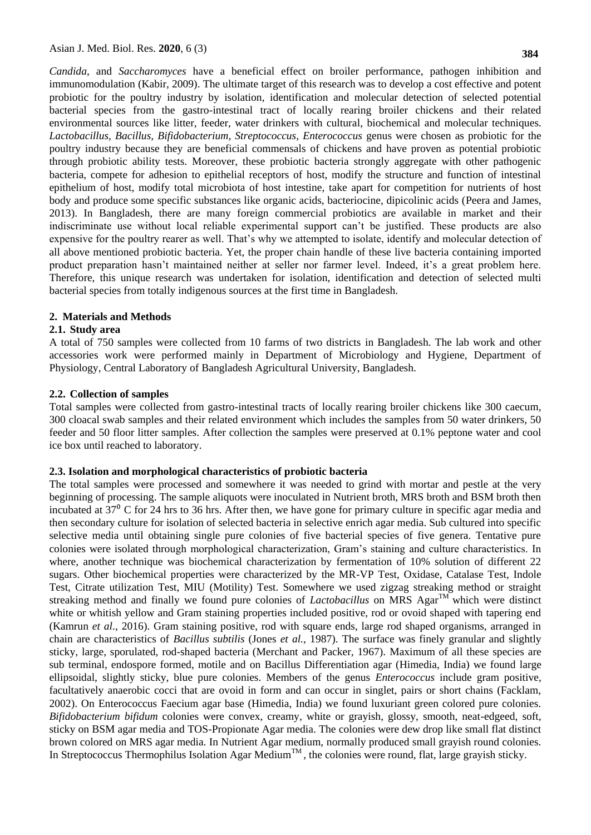*Candida*, and *Saccharomyces* have a beneficial effect on broiler performance, pathogen inhibition and immunomodulation (Kabir, 2009). The ultimate target of this research was to develop a cost effective and potent probiotic for the poultry industry by isolation, identification and molecular detection of selected potential bacterial species from the gastro-intestinal tract of locally rearing broiler chickens and their related environmental sources like litter, feeder, water drinkers with cultural, biochemical and molecular techniques. *Lactobacillus, Bacillus, Bifidobacterium, Streptococcus, Enterococcus* genus were chosen as probiotic for the poultry industry because they are beneficial commensals of chickens and have proven as potential probiotic through probiotic ability tests. Moreover, these probiotic bacteria strongly aggregate with other pathogenic bacteria, compete for adhesion to epithelial receptors of host, modify the structure and function of intestinal epithelium of host, modify total microbiota of host intestine, take apart for competition for nutrients of host body and produce some specific substances like organic acids, bacteriocine, dipicolinic acids [\(Peera a](https://www.ncbi.nlm.nih.gov/pubmed/?term=Hemarajata%20P%5BAuthor%5D&cauthor=true&cauthor_uid=23320049)nd [James,](https://www.ncbi.nlm.nih.gov/pubmed/?term=Versalovic%20J%5BAuthor%5D&cauthor=true&cauthor_uid=23320049) 2013). In Bangladesh, there are many foreign commercial probiotics are available in market and their indiscriminate use without local reliable experimental support can't be justified. These products are also expensive for the poultry rearer as well. That's why we attempted to isolate, identify and molecular detection of all above mentioned probiotic bacteria. Yet, the proper chain handle of these live bacteria containing imported product preparation hasn't maintained neither at seller nor farmer level. Indeed, it's a great problem here. Therefore, this unique research was undertaken for isolation, identification and detection of selected multi bacterial species from totally indigenous sources at the first time in Bangladesh.

#### **2. Materials and Methods**

#### **2.1. Study area**

A total of 750 samples were collected from 10 farms of two districts in Bangladesh. The lab work and other accessories work were performed mainly in Department of Microbiology and Hygiene, Department of Physiology, Central Laboratory of Bangladesh Agricultural University, Bangladesh.

#### **2.2. Collection of samples**

Total samples were collected from gastro-intestinal tracts of locally rearing broiler chickens like 300 caecum, 300 cloacal swab samples and their related environment which includes the samples from 50 water drinkers, 50 feeder and 50 floor litter samples. After collection the samples were preserved at 0.1% peptone water and cool ice box until reached to laboratory.

#### **2.3. Isolation and morphological characteristics of probiotic bacteria**

The total samples were processed and somewhere it was needed to grind with mortar and pestle at the very beginning of processing. The sample aliquots were inoculated in Nutrient broth, MRS broth and BSM broth then incubated at  $37<sup>0</sup>$  C for 24 hrs to 36 hrs. After then, we have gone for primary culture in specific agar media and then secondary culture for isolation of selected bacteria in selective enrich agar media. Sub cultured into specific selective media until obtaining single pure colonies of five bacterial species of five genera. Tentative pure colonies were isolated through morphological characterization, Gram's staining and culture characteristics. In where, another technique was biochemical characterization by fermentation of 10% solution of different 22 sugars. Other biochemical properties were characterized by the MR-VP Test, Oxidase, Catalase Test, Indole Test, Citrate utilization Test, MIU (Motility) Test. Somewhere we used zigzag streaking method or straight streaking method and finally we found pure colonies of *Lactobacillus* on MRS  $\text{Agar}^{\text{TM}}$  which were distinct white or whitish yellow and Gram staining properties included positive, rod or ovoid shaped with tapering end (Kamrun *et al*., 2016). Gram staining positive, rod with square ends, large rod shaped organisms, arranged in chain are characteristics of *Bacillus subtilis* (Jones *et al.,* 1987). The surface was finely granular and slightly sticky, large, sporulated, rod-shaped bacteria (Merchant and Packer, 1967). Maximum of all these species are sub terminal, endospore formed, motile and on Bacillus Differentiation agar (Himedia, India) we found large ellipsoidal, slightly sticky, blue pure colonies. Members of the genus *Enterococcus* include gram positive, facultatively anaerobic cocci that are ovoid in form and can occur in singlet, pairs or short chains (Facklam, 2002). On Enterococcus Faecium agar base (Himedia, India) we found luxuriant green colored pure colonies. *Bifidobacterium bifidum* colonies were convex, creamy, white or grayish, glossy, smooth, neat-edgeed, soft, sticky on BSM agar media and TOS-Propionate Agar media. The colonies were dew drop like small flat distinct brown colored on MRS agar media. In Nutrient Agar medium, normally produced small grayish round colonies. In Streptococcus Thermophilus Isolation Agar Medium<sup>TM</sup>, the colonies were round, flat, large grayish sticky.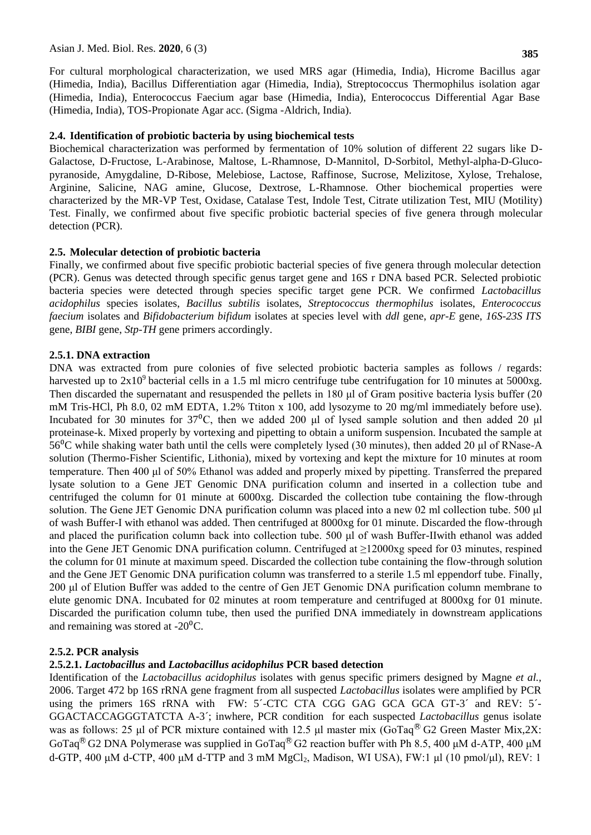For cultural morphological characterization, we used MRS agar (Himedia, India), Hicrome Bacillus agar (Himedia, India), Bacillus Differentiation agar (Himedia, India), Streptococcus Thermophilus isolation agar (Himedia, India), Enterococcus Faecium agar base (Himedia, India), Enterococcus Differential Agar Base (Himedia, India), TOS-Propionate Agar acc. (Sigma -Aldrich, India).

#### **2.4. Identification of probiotic bacteria by using biochemical tests**

Biochemical characterization was performed by fermentation of 10% solution of different 22 sugars like D-Galactose, D-Fructose, L-Arabinose, Maltose, L-Rhamnose, D-Mannitol, D-Sorbitol, Methyl-alpha-D-Glucopyranoside, Amygdaline, D-Ribose, Melebiose, Lactose, Raffinose, Sucrose, Melizitose, Xylose, Trehalose, Arginine, Salicine, NAG amine, Glucose, Dextrose, L-Rhamnose. Other biochemical properties were characterized by the MR-VP Test, Oxidase, Catalase Test, Indole Test, Citrate utilization Test, MIU (Motility) Test. Finally, we confirmed about five specific probiotic bacterial species of five genera through molecular detection (PCR).

#### **2.5. Molecular detection of probiotic bacteria**

Finally, we confirmed about five specific probiotic bacterial species of five genera through molecular detection (PCR). Genus was detected through specific genus target gene and 16S r DNA based PCR. Selected probiotic bacteria species were detected through species specific target gene PCR. We confirmed *Lactobacillus acidophilus* species isolates, *Bacillus subtilis* isolates, *Streptococcus thermophilus* isolates, *Enterococcus faecium* isolates and *Bifidobacterium bifidum* isolates at species level with *ddl* gene, *apr-E* gene, *16S-23S ITS* gene, *BIBI* gene, *Stp-TH* gene primers accordingly.

#### **2.5.1. DNA extraction**

DNA was extracted from pure colonies of five selected probiotic bacteria samples as follows / regards: harvested up to  $2x10^9$  bacterial cells in a 1.5 ml micro centrifuge tube centrifugation for 10 minutes at 5000xg. Then discarded the supernatant and resuspended the pellets in 180 μl of Gram positive bacteria lysis buffer (20 mM Tris-HCl, Ph 8.0, 02 mM EDTA, 1.2% Ttiton x 100, add lysozyme to 20 mg/ml immediately before use). Incubated for 30 minutes for 37<sup>o</sup>C, then we added 200 μl of lysed sample solution and then added 20 μl proteinase-k. Mixed properly by vortexing and pipetting to obtain a uniform suspension. Incubated the sample at 56⁰C while shaking water bath until the cells were completely lysed (30 minutes), then added 20 μl of RNase-A solution (Thermo-Fisher Scientific, Lithonia), mixed by vortexing and kept the mixture for 10 minutes at room temperature. Then 400 μl of 50% Ethanol was added and properly mixed by pipetting. Transferred the prepared lysate solution to a Gene JET Genomic DNA purification column and inserted in a collection tube and centrifuged the column for 01 minute at 6000xg. Discarded the collection tube containing the flow-through solution. The Gene JET Genomic DNA purification column was placed into a new 02 ml collection tube. 500 μl of wash Buffer-I with ethanol was added. Then centrifuged at 8000xg for 01 minute. Discarded the flow-through and placed the purification column back into collection tube. 500 μl of wash Buffer-IIwith ethanol was added into the Gene JET Genomic DNA purification column. Centrifuged at  $\geq$ 12000xg speed for 03 minutes, respined the column for 01 minute at maximum speed. Discarded the collection tube containing the flow-through solution and the Gene JET Genomic DNA purification column was transferred to a sterile 1.5 ml eppendorf tube. Finally, 200 μl of Elution Buffer was added to the centre of Gen JET Genomic DNA purification column membrane to elute genomic DNA. Incubated for 02 minutes at room temperature and centrifuged at 8000xg for 01 minute. Discarded the purification column tube, then used the purified DNA immediately in downstream applications and remaining was stored at  $-20^{\circ}$ C.

#### **2.5.2. PCR analysis**

#### **2.5.2.1.** *Lactobacillus* **and** *Lactobacillus acidophilus* **PCR based detection**

Identification of the *Lactobacillus acidophilus* isolates with genus specific primers designed by Magne *et al.,*  2006. Target 472 bp 16S rRNA gene fragment from all suspected *Lactobacillus* isolates were amplified by PCR using the primers 16S rRNA with FW: 5<sup>2</sup>-CTC CTA CGG GAG GCA GCA GT-3<sup>2</sup> and REV: 5<sup>2</sup>-GGACTACCAGGGTATCTA A-3´; inwhere, PCR condition for each suspected *Lactobacillus* genus isolate was as follows: 25 μl of PCR mixture contained with 12.5 μl master mix (GoTaq<sup>®</sup> G2 Green Master Mix,2X: GoTaq<sup>®</sup> G2 DNA Polymerase was supplied in GoTaq<sup>®</sup> G2 reaction buffer with Ph 8.5, 400 μM d-ATP, 400 μM d-GTP, 400 μM d-CTP, 400 μM d-TTP and 3 mM MgCl<sub>2</sub>, Madison, WI USA), FW:1 μl (10 pmol/μl), REV: 1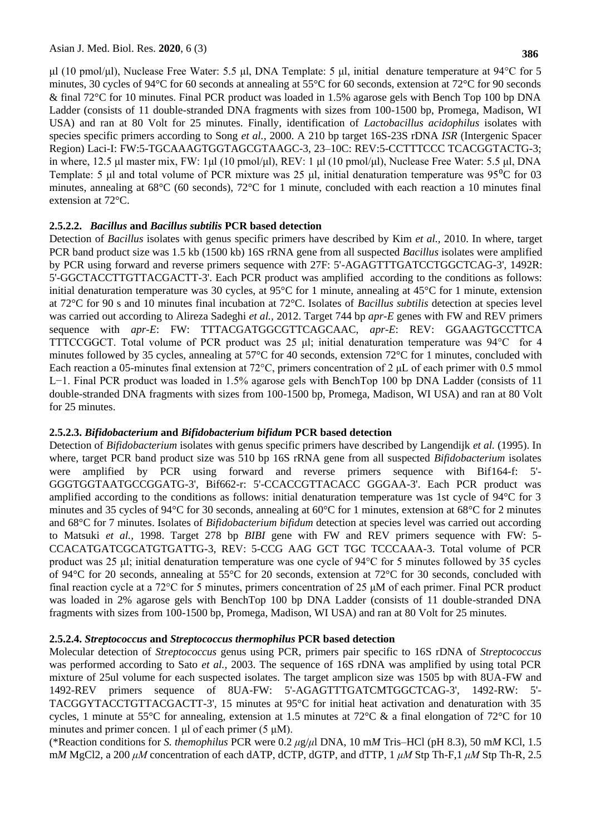μl (10 pmol/μl), Nuclease Free Water: 5.5 μl, DNA Template: 5 μl, initial denature temperature at 94°C for 5 minutes, 30 cycles of 94°C for 60 seconds at annealing at 55°C for 60 seconds, extension at 72°C for 90 seconds & final 72°C for 10 minutes. Final PCR product was loaded in 1.5% agarose gels with Bench Top 100 bp DNA Ladder (consists of 11 double-stranded DNA fragments with sizes from 100-1500 bp, Promega, Madison, WI USA) and ran at 80 Volt for 25 minutes. Finally, identification of *Lactobacillus acidophilus* isolates with species specific primers according to Song *et al.,* 2000. A 210 bp target 16S-23S rDNA *ISR* (Intergenic Spacer Region) Laci-I: FW:5-TGCAAAGTGGTAGCGTAAGC-3, 23–10C: REV:5-CCTTTCCC TCACGGTACTG-3; in where, 12.5 μl master mix, FW: 1μl (10 pmol/μl), REV: 1 μl (10 pmol/μl), Nuclease Free Water: 5.5 μl, DNA Template: 5 μl and total volume of PCR mixture was 25 μl, initial denaturation temperature was  $95^{\circ}$ C for 03 minutes, annealing at 68°C (60 seconds), 72°C for 1 minute, concluded with each reaction a 10 minutes final extension at 72°C.

### **2.5.2.2.** *Bacillus* **and** *Bacillus subtilis* **PCR based detection**

Detection of *Bacillus* isolates with genus specific primers have described by Kim *et al.,* 2010. In where, target PCR band product size was 1.5 kb (1500 kb) 16S rRNA gene from all suspected *Bacillus* isolates were amplified by PCR using forward and reverse primers sequence with 27F: 5'-AGAGTTTGATCCTGGCTCAG-3', 1492R: 5'-GGCTACCTTGTTACGACTT-3'. Each PCR product was amplified according to the conditions as follows: initial denaturation temperature was 30 cycles, at 95°C for 1 minute, annealing at 45°C for 1 minute, extension at 72°C for 90 s and 10 minutes final incubation at 72°C. Isolates of *Bacillus subtilis* detection at species level was carried out according to Alireza Sadeghi *et al.,* 2012. Target 744 bp *apr-E* genes with FW and REV primers sequence with *apr-E*: FW: TTTACGATGGCGTTCAGCAAC, *apr-E*: REV: GGAAGTGCCTTCA TTTCCGGCT. Total volume of PCR product was 25 μl; initial denaturation temperature was 94°C for 4 minutes followed by 35 cycles, annealing at 57°C for 40 seconds, extension 72°C for 1 minutes, concluded with Each reaction a 05-minutes final extension at 72°C, primers concentration of 2 μL of each primer with 0.5 mmol L−1. Final PCR product was loaded in 1.5% agarose gels with BenchTop 100 bp DNA Ladder (consists of 11 double-stranded DNA fragments with sizes from 100-1500 bp, Promega, Madison, WI USA) and ran at 80 Volt for 25 minutes.

### **2.5.2.3.** *Bifidobacterium* **and** *Bifidobacterium bifidum* **PCR based detection**

Detection of *Bifidobacterium* isolates with genus specific primers have described by Langendijk *et al.* (1995). In where, target PCR band product size was 510 bp 16S rRNA gene from all suspected *Bifidobacterium* isolates were amplified by PCR using forward and reverse primers sequence with Bif164-f: 5'- GGGTGGTAATGCCGGATG-3', Bif662-r: 5'-CCACCGTTACACC GGGAA-3'. Each PCR product was amplified according to the conditions as follows: initial denaturation temperature was 1st cycle of 94°C for 3 minutes and 35 cycles of 94°C for 30 seconds, annealing at 60°C for 1 minutes, extension at 68°C for 2 minutes and 68°C for 7 minutes. Isolates of *Bifidobacterium bifidum* detection at species level was carried out according to Matsuki *et al.,* 1998. Target 278 bp *BIBI* gene with FW and REV primers sequence with FW: 5- CCACATGATCGCATGTGATTG-3, REV: 5-CCG AAG GCT TGC TCCCAAA-3. Total volume of PCR product was 25 μl; initial denaturation temperature was one cycle of 94°C for 5 minutes followed by 35 cycles of 94°C for 20 seconds, annealing at 55°C for 20 seconds, extension at 72°C for 30 seconds, concluded with final reaction cycle at a 72°C for 5 minutes, primers concentration of 25 μM of each primer. Final PCR product was loaded in 2% agarose gels with BenchTop 100 bp DNA Ladder (consists of 11 double-stranded DNA fragments with sizes from 100-1500 bp, Promega, Madison, WI USA) and ran at 80 Volt for 25 minutes.

### **2.5.2.4.** *Streptococcus* **and** *Streptococcus thermophilus* **PCR based detection**

Molecular detection of *Streptococcus* genus using PCR, primers pair specific to 16S rDNA of *Streptococcus* was performed according to Sato *et al.,* 2003. The sequence of 16S rDNA was amplified by using total PCR mixture of 25ul volume for each suspected isolates. The target amplicon size was 1505 bp with 8UA-FW and 1492-REV primers sequence of 8UA-FW: 5'-AGAGTTTGATCMTGGCTCAG-3', 1492-RW: 5'- TACGGYTACCTGTTACGACTT-3', 15 minutes at 95°C for initial heat activation and denaturation with 35 cycles, 1 minute at 55°C for annealing, extension at 1.5 minutes at 72°C & a final elongation of 72°C for 10 minutes and primer concen. 1  $\mu$ l of each primer (5  $\mu$ M).

(\*Reaction conditions for *S. themophilus* PCR were 0.2 *μ*g/*μ*l DNA, 10 m*M* Tris–HCl (pH 8.3), 50 m*M* KCl, 1.5 m*M* MgCl2, a 200 *μM* concentration of each dATP, dCTP, dGTP, and dTTP, 1 *μM* Stp Th-F,1 *μM* Stp Th-R, 2.5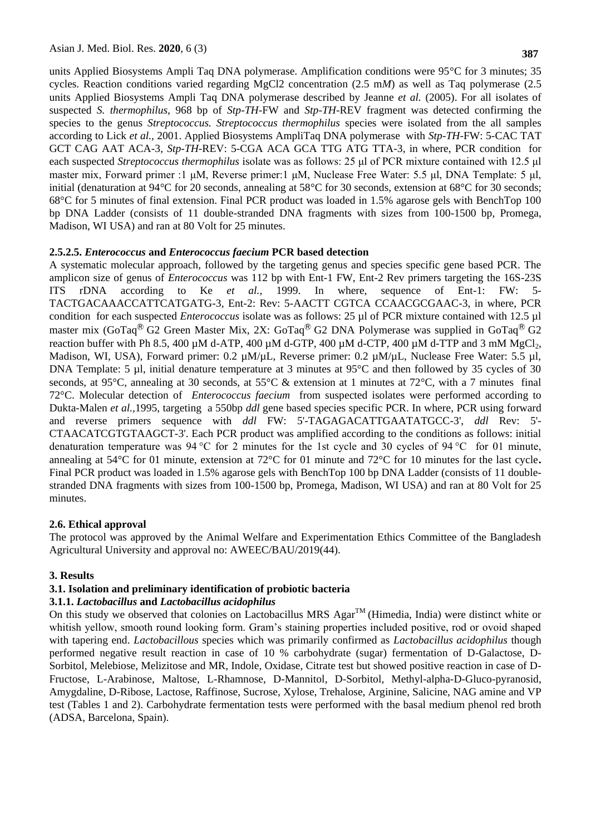units Applied Biosystems Ampli Taq DNA polymerase. Amplification conditions were 95°C for 3 minutes; 35 cycles. Reaction conditions varied regarding MgCl2 concentration (2.5 m*M*) as well as Taq polymerase (2.5 units Applied Biosystems Ampli Taq DNA polymerase described by Jeanne *et al.* (2005). For all isolates of suspected *S. thermophilus,* 968 bp of *Stp-TH*-FW and *Stp-TH*-REV fragment was detected confirming the species to the genus *Streptococcus. Streptococcus thermophilus* species were isolated from the all samples according to Lick *et al.,* 2001. Applied Biosystems AmpliTaq DNA polymerase with *Stp-TH*-FW: 5-CAC TAT GCT CAG AAT ACA-3, *Stp-TH*-REV: 5-CGA ACA GCA TTG ATG TTA-3, in where, PCR condition for each suspected *Streptococcus thermophilus* isolate was as follows: 25 μl of PCR mixture contained with 12.5 μl master mix, Forward primer :1 μM, Reverse primer:1 μM, Nuclease Free Water: 5.5 μl, DNA Template: 5 μl, initial (denaturation at 94°C for 20 seconds, annealing at 58°C for 30 seconds, extension at 68°C for 30 seconds; 68°C for 5 minutes of final extension. Final PCR product was loaded in 1.5% agarose gels with BenchTop 100 bp DNA Ladder (consists of 11 double-stranded DNA fragments with sizes from 100-1500 bp, Promega, Madison, WI USA) and ran at 80 Volt for 25 minutes.

### **2.5.2.5.** *Enterococcus* **and** *Enterococcus faecium* **PCR based detection**

A systematic molecular approach, followed by the targeting genus and species specific gene based PCR. The amplicon size of genus of *Enterococcus* was 112 bp with Ent-1 FW, Ent-2 Rev primers targeting the 16S-23S ITS rDNA according to Ke *et al.,* 1999. In where, sequence of Ent-1: FW: 5- TACTGACAAACCATTCATGATG-3, Ent-2: Rev: 5-AACTT CGTCA CCAACGCGAAC-3, in where, PCR condition for each suspected *Enterococcus* isolate was as follows: 25 µl of PCR mixture contained with 12.5 µl master mix (GoTaq<sup>®</sup> G2 Green Master Mix, 2X: GoTaq<sup>®</sup> G2 DNA Polymerase was supplied in GoTaq<sup>®</sup> G2 reaction buffer with Ph 8.5, 400  $\mu$ M d-ATP, 400  $\mu$ M d-GTP, 400  $\mu$ M d-CTP, 400  $\mu$ M d-TTP and 3 mM MgCl<sub>2</sub>, Madison, WI, USA), Forward primer: 0.2  $\mu$ M/ $\mu$ L, Reverse primer: 0.2  $\mu$ M/ $\mu$ L, Nuclease Free Water: 5.5  $\mu$ l, DNA Template: 5 µl, initial denature temperature at 3 minutes at 95°C and then followed by 35 cycles of 30 seconds, at 95 $\degree$ C, annealing at 30 seconds, at 55 $\degree$ C & extension at 1 minutes at 72 $\degree$ C, with a 7 minutes final 72°C. Molecular detection of *Enterococcus faecium* from suspected isolates were performed according to Dukta-Malen *et al.,*1995, targeting a 550bp *ddl* gene based species specific PCR. In where, PCR using forward and reverse primers sequence with *ddl* FW: 5'-TAGAGACATTGAATATGCC-3', *ddl* Rev: 5'- CTAACATCGTGTAAGCT-3'. Each PCR product was amplified according to the conditions as follows: initial denaturation temperature was 94 °C for 2 minutes for the 1st cycle and 30 cycles of 94 °C for 01 minute, annealing at 54°C for 01 minute, extension at 72°C for 01 minute and 72°C for 10 minutes for the last cycle**.** Final PCR product was loaded in 1.5% agarose gels with BenchTop 100 bp DNA Ladder (consists of 11 doublestranded DNA fragments with sizes from 100-1500 bp, Promega, Madison, WI USA) and ran at 80 Volt for 25 minutes.

### **2.6. Ethical approval**

The protocol was approved by the Animal Welfare and Experimentation Ethics Committee of the Bangladesh Agricultural University and approval no: AWEEC/BAU/2019(44).

### **3. Results**

### **3.1. Isolation and preliminary identification of probiotic bacteria**

#### **3.1.1.** *Lactobacillus* **and** *Lactobacillus acidophilus*

On this study we observed that colonies on Lactobacillus MRS  $\text{Agar}^{\text{TM}}$  (Himedia, India) were distinct white or whitish yellow, smooth round looking form. Gram's staining properties included positive, rod or ovoid shaped with tapering end. *Lactobacillous* species which was primarily confirmed as *Lactobacillus acidophilus* though performed negative result reaction in case of 10 % carbohydrate (sugar) fermentation of D-Galactose, D-Sorbitol, Melebiose, Melizitose and MR, Indole, Oxidase, Citrate test but showed positive reaction in case of D-Fructose, L-Arabinose, Maltose, L-Rhamnose, D-Mannitol, D-Sorbitol, Methyl-alpha-D-Gluco-pyranosid, Amygdaline, D-Ribose, Lactose, Raffinose, Sucrose, Xylose, Trehalose, Arginine, Salicine, NAG amine and VP test (Tables 1 and 2). Carbohydrate fermentation tests were performed with the basal medium phenol red broth (ADSA, Barcelona, Spain).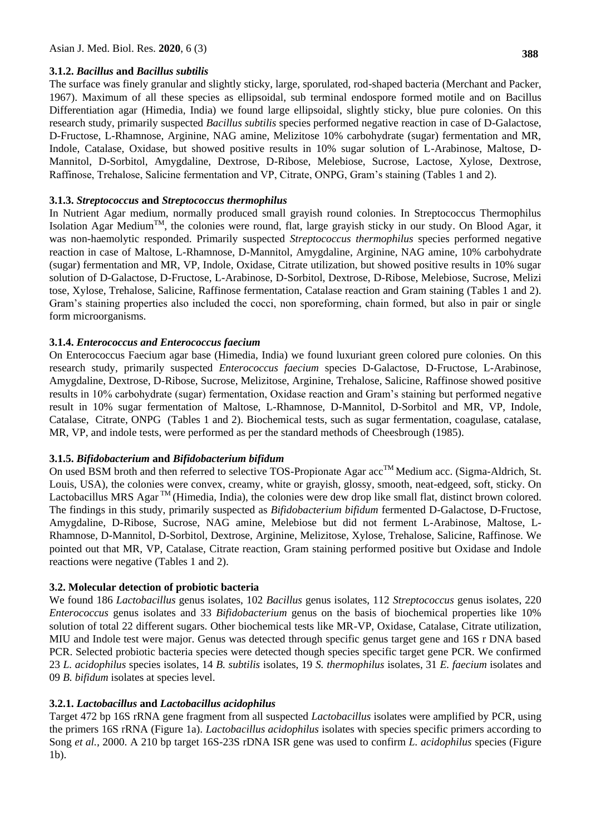### **3.1.2.** *Bacillus* **and** *Bacillus subtilis*

The surface was finely granular and slightly sticky, large, sporulated, rod-shaped bacteria (Merchant and Packer, 1967). Maximum of all these species as ellipsoidal, sub terminal endospore formed motile and on Bacillus Differentiation agar (Himedia, India) we found large ellipsoidal, slightly sticky, blue pure colonies. On this research study, primarily suspected *Bacillus subtilis* species performed negative reaction in case of D-Galactose, D-Fructose, L-Rhamnose, Arginine, NAG amine, Melizitose 10% carbohydrate (sugar) fermentation and MR, Indole, Catalase, Oxidase, but showed positive results in 10% sugar solution of L-Arabinose, Maltose, D-Mannitol, D-Sorbitol, Amygdaline, Dextrose, D-Ribose, Melebiose, Sucrose, Lactose, Xylose, Dextrose, Raffinose, Trehalose, Salicine fermentation and VP, Citrate, ONPG, Gram's staining (Tables 1 and 2).

### **3.1.3.** *Streptococcus* **and** *Streptococcus thermophilus*

In Nutrient Agar medium, normally produced small grayish round colonies. In Streptococcus Thermophilus Isolation Agar Medium<sup>TM</sup>, the colonies were round, flat, large grayish sticky in our study. On Blood Agar, it was non-haemolytic responded. Primarily suspected *Streptococcus thermophilus* species performed negative reaction in case of Maltose, L-Rhamnose, D-Mannitol, Amygdaline, Arginine, NAG amine, 10% carbohydrate (sugar) fermentation and MR, VP, Indole, Oxidase, Citrate utilization, but showed positive results in 10% sugar solution of D-Galactose, D-Fructose, L-Arabinose, D-Sorbitol, Dextrose, D-Ribose, Melebiose, Sucrose, Melizi tose, Xylose, Trehalose, Salicine, Raffinose fermentation, Catalase reaction and Gram staining (Tables 1 and 2). Gram's staining properties also included the cocci, non sporeforming, chain formed, but also in pair or single form microorganisms.

### **3.1.4.** *Enterococcus and Enterococcus faecium*

On Enterococcus Faecium agar base (Himedia, India) we found luxuriant green colored pure colonies. On this research study, primarily suspected *Enterococcus faecium* species D-Galactose, D-Fructose, L-Arabinose, Amygdaline, Dextrose, D-Ribose, Sucrose, Melizitose, Arginine, Trehalose, Salicine, Raffinose showed positive results in 10% carbohydrate (sugar) fermentation, Oxidase reaction and Gram's staining but performed negative result in 10% sugar fermentation of Maltose, L-Rhamnose, D-Mannitol, D-Sorbitol and MR, VP, Indole, Catalase, Citrate, ONPG (Tables 1 and 2). Biochemical tests, such as sugar fermentation, coagulase, catalase, MR, VP, and indole tests, were performed as per the standard methods of Cheesbrough (1985).

### **3.1.5.** *Bifidobacterium* **and** *Bifidobacterium bifidum*

On used BSM broth and then referred to selective TOS-Propionate Agar  $acc^{TM}$  Medium acc. (Sigma-Aldrich, St. Louis, USA), the colonies were convex, creamy, white or grayish, glossy, smooth, neat-edgeed, soft, sticky. On Lactobacillus MRS Agar<sup>TM</sup> (Himedia, India), the colonies were dew drop like small flat, distinct brown colored. The findings in this study, primarily suspected as *Bifidobacterium bifidum* fermented D-Galactose, D-Fructose, Amygdaline, D-Ribose, Sucrose, NAG amine, Melebiose but did not ferment L-Arabinose, Maltose, L-Rhamnose, D-Mannitol, D-Sorbitol, Dextrose, Arginine, Melizitose, Xylose, Trehalose, Salicine, Raffinose. We pointed out that MR, VP, Catalase, Citrate reaction, Gram staining performed positive but Oxidase and Indole reactions were negative (Tables 1 and 2).

### **3.2. Molecular detection of probiotic bacteria**

We found 186 *Lactobacillus* genus isolates, 102 *Bacillus* genus isolates, 112 *Streptococcus* genus isolates, 220 *Enterococcus* genus isolates and 33 *Bifidobacterium* genus on the basis of biochemical properties like 10% solution of total 22 different sugars. Other biochemical tests like MR-VP, Oxidase, Catalase, Citrate utilization, MIU and Indole test were major. Genus was detected through specific genus target gene and 16S r DNA based PCR. Selected probiotic bacteria species were detected though species specific target gene PCR. We confirmed 23 *L. acidophilus* species isolates, 14 *B. subtilis* isolates, 19 *S. thermophilus* isolates, 31 *E. faecium* isolates and 09 *B. bifidum* isolates at species level.

### **3.2.1.** *Lactobacillus* **and** *Lactobacillus acidophilus*

Target 472 bp 16S rRNA gene fragment from all suspected *Lactobacillus* isolates were amplified by PCR, using the primers 16S rRNA (Figure 1a). *Lactobacillus acidophilus* isolates with species specific primers according to Song *et al.,* 2000. A 210 bp target 16S-23S rDNA ISR gene was used to confirm *L. acidophilus* species (Figure 1b).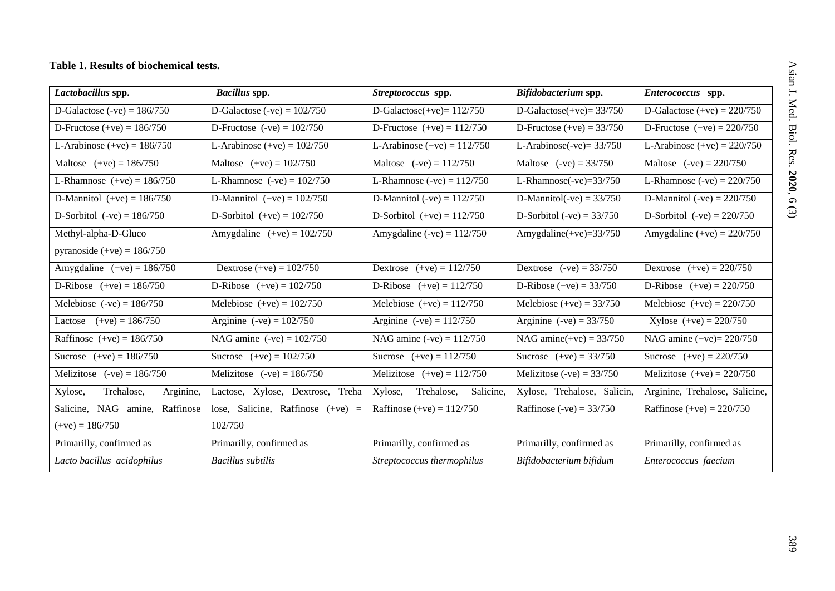## **Table 1. Results of biochemical tests.**

| Lactobacillus spp.                 | <b>Bacillus</b> spp.                | Streptococcus spp.                 | Bifidobacterium spp.                                                             | Enterococcus spp.              |  |
|------------------------------------|-------------------------------------|------------------------------------|----------------------------------------------------------------------------------|--------------------------------|--|
| D-Galactose $(-ve) = 186/750$      | D-Galactose (-ve) = $102/750$       | D-Galactose $(+ve)=112/750$        | D-Galactose $(+ve) = 33/750$                                                     | D-Galactose $(+ve) = 220/750$  |  |
| D-Fructose $(+ve) = 186/750$       | D-Fructose $(-ve) = 102/750$        | D-Fructose $(+ve) = 112/750$       | D-Fructose $(+ve) = 33/750$                                                      | D-Fructose $(+ve) = 220/750$   |  |
| L-Arabinose $(+ve) = 186/750$      | L-Arabinose $(+ve) = 102/750$       | L-Arabinose $(+ve) = 112/750$      | L-Arabinose(-ve) = $33/750$                                                      | L-Arabinose $(+ve) = 220/750$  |  |
| Maltose $(+ve) = 186/750$          | Maltose $(+ve) = 102/750$           | Maltose $(-ve) = 112/750$          | Maltose $(-ve) = 33/750$                                                         | Maltose $(-ve) = 220/750$      |  |
| L-Rhamnose $(+ve) = 186/750$       | L-Rhamnose $(-ve) = 102/750$        | L-Rhamnose (-ve) = $112/750$       | L-Rhamnose(-ve) $=$ 33/750                                                       | L-Rhamnose $(-ve) = 220/750$   |  |
| D-Mannitol $(+ve) = 186/750$       | D-Mannitol $(+ve) = 102/750$        | D-Mannitol (-ve) = $112/750$       | D-Mannitol(-ve) = $33/750$                                                       | D-Mannitol (-ve) = $220/750$   |  |
| D-Sorbitol $(-ve) = 186/750$       | D-Sorbitol $(+ve) = 102/750$        | D-Sorbitol $(+ve) = 112/750$       | D-Sorbitol (-ve) = $33/750$                                                      | D-Sorbitol $(-ve) = 220/750$   |  |
| Methyl-alpha-D-Gluco               | Amygdaline $(+ve) = 102/750$        | Amygdaline $(-ve) = 112/750$       | Amygdaline $(+ve)=33/750$                                                        | Amygdaline $(+ve) = 220/750$   |  |
| pyranoside $(+ve) = 186/750$       |                                     |                                    |                                                                                  |                                |  |
| Amygdaline $(+ve) = 186/750$       | Dextrose $(+ve) = 102/750$          | Dextrose $(+ve) = 112/750$         | Dextrose $(-ve) = 33/750$                                                        | Dextrose $(+ve) = 220/750$     |  |
| D-Ribose $(+ve) = 186/750$         | D-Ribose $(+ve) = 102/750$          | D-Ribose $(+ve) = 112/750$         | D-Ribose $(+ve) = 33/750$                                                        | D-Ribose $(+ve) = 220/750$     |  |
| Melebiose $(-ve) = 186/750$        | Melebiose $(+ve) = 102/750$         | Melebiose $(+ve) = 112/750$        | Melebiose $(+ve) = 33/750$                                                       | Melebiose $(+ve) = 220/750$    |  |
| $(+ve) = 186/750$<br>Lactose       | Arginine $(-ve) = 102/750$          | Arginine $(-ve) = 112/750$         | Arginine $(-ve) = 33/750$                                                        | Xylose $(+ve) = 220/750$       |  |
| Raffinose $(+ve) = 186/750$        | NAG amine $(-ve) = 102/750$         | NAG amine $(-ve) = 112/750$        | NAG amine(+ve) = $33/750$                                                        | NAG amine $(+ve)= 220/750$     |  |
| Sucrose $(+ve) = 186/750$          | Sucrose $(+ve) = 102/750$           | Sucrose $(+ve) = 112/750$          | Sucrose $(+ve) = 33/750$                                                         | Sucrose $(+ve) = 220/750$      |  |
| Melizitose $(-ve) = 186/750$       | Melizitose $(-ve) = 186/750$        | Melizitose $(+ve) = 112/750$       | Melizitose $(-ve) = 33/750$                                                      | Melizitose $(+ve) = 220/750$   |  |
| Trehalose,<br>Arginine,<br>Xylose, | Lactose, Xylose, Dextrose, Treha    | Trehalose,<br>Salicine,<br>Xylose, | Xylose, Trehalose, Salicin,                                                      | Arginine, Trehalose, Salicine, |  |
| Salicine, NAG amine, Raffinose     | lose, Salicine, Raffinose $(+ve)$ = | Raffinose $(+ve) = 112/750$        | Raffinose (-ve) = $33/750$                                                       | Raffinose (+ve) = $220/750$    |  |
| $(+ve) = 186/750$                  | 102/750                             |                                    |                                                                                  |                                |  |
| Primarilly, confirmed as           | Primarilly, confirmed as            |                                    | Primarilly, confirmed as<br>Primarilly, confirmed as<br>Primarilly, confirmed as |                                |  |
| Lacto bacillus acidophilus         | <b>Bacillus</b> subtilis            | Streptococcus thermophilus         | Bifidobacterium bifidum<br>Enterococcus faecium                                  |                                |  |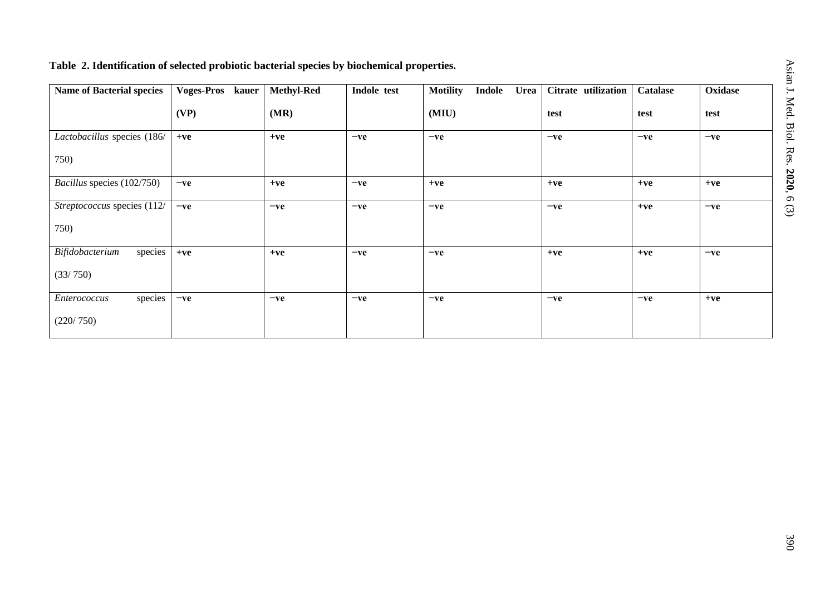# **Table 2. Identification of selected probiotic bacterial species by biochemical properties.**

| <b>Name of Bacterial species</b> | <b>Voges-Pros</b><br>kauer | <b>Methyl-Red</b> | Indole test | <b>Motility</b><br><b>Indole</b><br><b>Urea</b> | Citrate utilization | <b>Catalase</b> | Oxidase |
|----------------------------------|----------------------------|-------------------|-------------|-------------------------------------------------|---------------------|-----------------|---------|
|                                  | (VP)                       | (MR)              |             | (MIU)                                           | test                | test            | test    |
| Lactobacillus species (186/      | $+ve$                      | $+ve$             | $-ve$       | $-ve$                                           | $-ve$               | $-ve$           | $-ve$   |
| 750)                             |                            |                   |             |                                                 |                     |                 |         |
| Bacillus species (102/750)       | $-ve$                      | $+ve$             | $-ve$       | $+ve$                                           | $+ve$               | $+ve$           | $+ve$   |
| Streptococcus species (112/      | $-ve$                      | $-ve$             | $-ve$       | $-ve$                                           | $-ve$               | $+ve$           | $-ve$   |
| 750)                             |                            |                   |             |                                                 |                     |                 |         |
| species<br>Bifidobacterium       | $+ve$                      | $+ve$             | $-ve$       | $-ve$                                           | $+ve$               | $+ve$           | $-ve$   |
| (33/750)                         |                            |                   |             |                                                 |                     |                 |         |
| species<br>Enterococcus          | $-ve$                      | $-ve$             | $-ve$       | $-ve$                                           | $-ve$               | $-ve$           | $+ve$   |
| (220/750)                        |                            |                   |             |                                                 |                     |                 |         |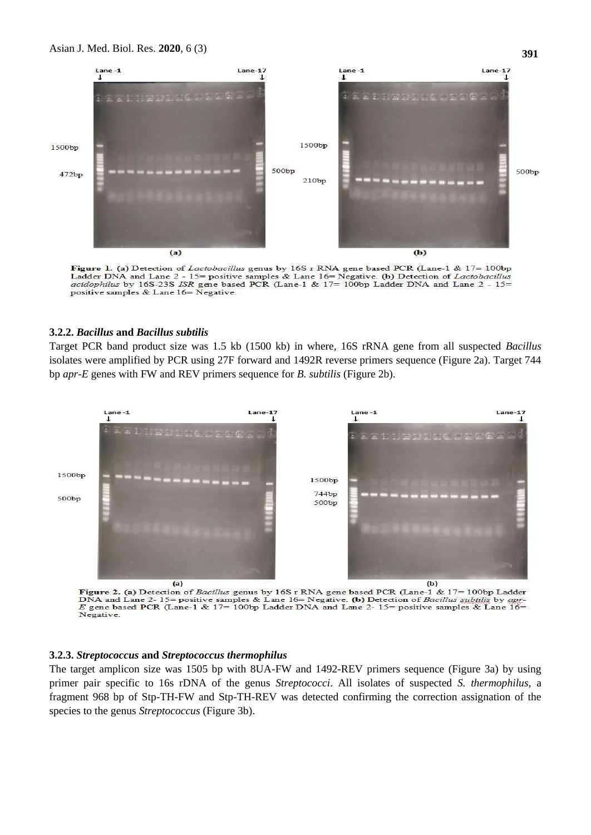#### Asian J. Med. Biol. Res. **2020**, 6 (3)



**Figure 1. (a)** Detection of *Lactobacillus* genus by 16S r RNA gene based PCR (Lane-1 & 17= 100bp Ladder DNA and Lane 2 - 15= positive samples & Lane 16= Negative. (b) Detection of *Lactobacillus* acidophilus by 165-238 ISR gene based PCR (Lane-1 & 17= 100bp Ladder DNA and Lane 2 - 15=<br>positive samples & Lane 16= Negative.

### **3.2.2.** *Bacillus* **and** *Bacillus subtilis*

Target PCR band product size was 1.5 kb (1500 kb) in where, 16S rRNA gene from all suspected *Bacillus* isolates were amplified by PCR using 27F forward and 1492R reverse primers sequence (Figure 2a). Target 744 bp *apr-E* genes with FW and REV primers sequence for *B. subtilis* (Figure 2b).



Figure 2. (a) Detection of Bacillus genus by 16S r RNA gene based PCR (Lane-1 & 17= 100bp Ladder DNA and Lane 2-15= positive samples & Lane 16= Negative. (b) Detection of Bacillus subtilis by approximate gene based PCR (Lane-1 & 17= 100bp Ladder DNA and Lane 2-15= positive samples & Lane 16= Negative.

#### **3.2.3.** *Streptococcus* **and** *Streptococcus thermophilus*

The target amplicon size was 1505 bp with 8UA-FW and 1492-REV primers sequence (Figure 3a) by using primer pair specific to 16s rDNA of the genus *Streptococci*. All isolates of suspected *S. thermophilus,* a fragment 968 bp of Stp-TH-FW and Stp-TH-REV was detected confirming the correction assignation of the species to the genus *Streptococcus* (Figure 3b).

**391**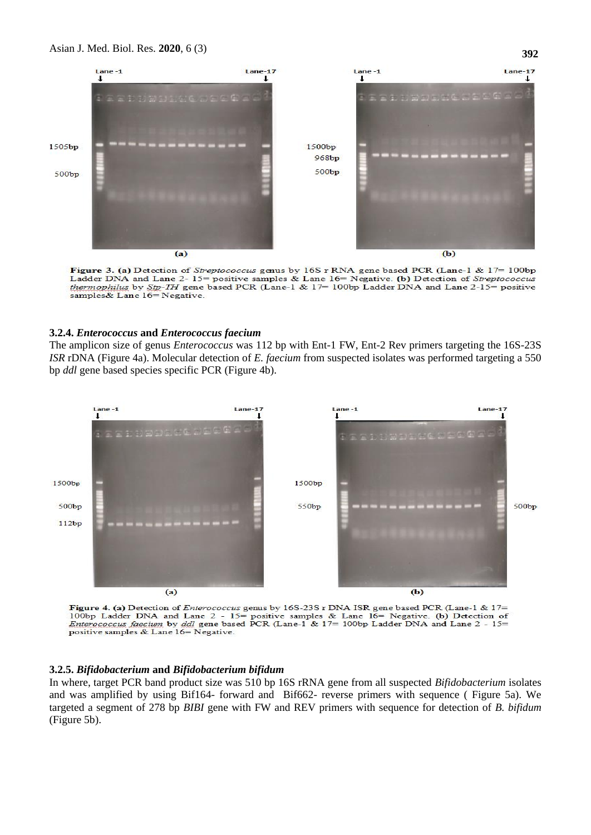

Figure 3. (a) Detection of Streptococcus genus by 16S r RNA gene based PCR (Lane-1 & 17= 100bp Ladder DNA and Lane 2-15= positive samples & Lane 16= Negative. (b) Detection of Streptococcus thermophilus by Stp-TH gene based PCR (Lane-1 & 17= 100bp Ladder DNA and Lane 2-15= positive samples& Lane 16= Negative.

### **3.2.4.** *Enterococcus* **and** *Enterococcus faecium*

The amplicon size of genus *Enterococcus* was 112 bp with Ent-1 FW, Ent-2 Rev primers targeting the 16S-23S *ISR* rDNA (Figure 4a). Molecular detection of *E. faecium* from suspected isolates was performed targeting a 550 bp *ddl* gene based species specific PCR (Figure 4b).



Figure 4. (a) Detection of *Enterococcus* genus by 16S-23S r DNA ISR gene based PCR (Lane-1 & 17= 100bp Ladder DNA and Lane 2 - 15= positive samples & Lane 16= Negative. (b) Detection of *Enterococcus faecium* by *ddl* ge positive samples & Lane 16= Negative.

#### **3.2.5.** *Bifidobacterium* **and** *Bifidobacterium bifidum*

In where, target PCR band product size was 510 bp 16S rRNA gene from all suspected *Bifidobacterium* isolates and was amplified by using Bif164- forward and Bif662- reverse primers with sequence ( Figure 5a). We targeted a segment of 278 bp *BIBI* gene with FW and REV primers with sequence for detection of *B. bifidum* (Figure 5b).

**392**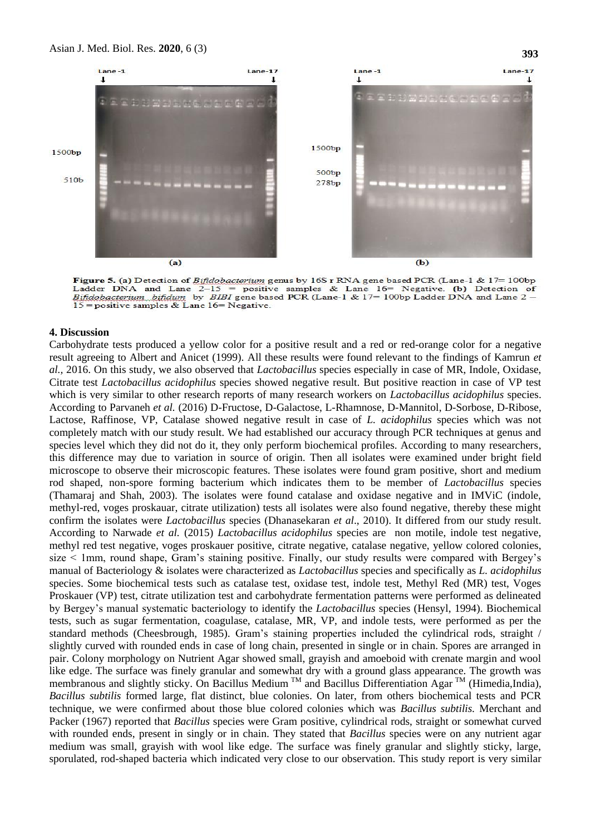#### Asian J. Med. Biol. Res. **2020**, 6 (3)



Figure 5. (a) Detection of Bifidobacterium genus by 16S r RNA gene based PCR (Lane-1 & 17= 100bp Ladder DNA and Lane  $2-15 =$  positive samples & Lane 16= Negative. (b) Detection of Biftdebacterium biftdum by BIBI gene based PCR (Lane-1 & 17= 100bp Ladder DNA and Lane 2 -15 = positive samples & Lane 16 = Negative.

#### **4. Discussion**

Carbohydrate tests produced a yellow color for a positive result and a red or red-orange color for a negative result agreeing to Albert and Anicet (1999). All these results were found relevant to the findings of Kamrun *et al.,* 2016. On this study, we also observed that *Lactobacillus* species especially in case of MR, Indole, Oxidase, Citrate test *Lactobacillus acidophilus* species showed negative result. But positive reaction in case of VP test which is very similar to other research reports of many research workers on *Lactobacillus acidophilus* species. According to Parvaneh *et al.* (2016) D-Fructose, D-Galactose, L-Rhamnose, D-Mannitol, D-Sorbose, D-Ribose, Lactose, Raffinose, VP, Catalase showed negative result in case of *L. acidophilus* species which was not completely match with our study result. We had established our accuracy through PCR techniques at genus and species level which they did not do it, they only perform biochemical profiles. According to many researchers, this difference may due to variation in source of origin. Then all isolates were examined under bright field microscope to observe their microscopic features. These isolates were found gram positive, short and medium rod shaped, non-spore forming bacterium which indicates them to be member of *Lactobacillus* species (Thamaraj and Shah, 2003). The isolates were found catalase and oxidase negative and in IMViC (indole, methyl-red, voges proskauar, citrate utilization) tests all isolates were also found negative, thereby these might confirm the isolates were *Lactobacillus* species (Dhanasekaran *et al*., 2010). It differed from our study result. According to Narwade *et al.* (2015) *Lactobacillus acidophilus* species are non motile, indole test negative, methyl red test negative, voges proskauer positive, citrate negative, catalase negative, yellow colored colonies, size < 1mm, round shape, Gram's staining positive. Finally, our study results were compared with Bergey's manual of Bacteriology & isolates were characterized as *Lactobacillus* species and specifically as *L. acidophilus*  species. Some biochemical tests such as catalase test, oxidase test, indole test, Methyl Red (MR) test, Voges Proskauer (VP) test, citrate utilization test and carbohydrate fermentation patterns were performed as delineated by Bergey's manual systematic bacteriology to identify the *Lactobacillus* species (Hensyl, 1994). Biochemical tests, such as sugar fermentation, coagulase, catalase, MR, VP, and indole tests, were performed as per the standard methods (Cheesbrough, 1985). Gram's staining properties included the cylindrical rods, straight / slightly curved with rounded ends in case of long chain, presented in single or in chain. Spores are arranged in pair. Colony morphology on Nutrient Agar showed small, grayish and amoeboid with crenate margin and wool like edge. The surface was finely granular and somewhat dry with a ground glass appearance. The growth was membranous and slightly sticky. On Bacillus Medium <sup>TM</sup> and Bacillus Differentiation Agar <sup>TM</sup> (Himedia,India), *Bacillus subtilis* formed large, flat distinct, blue colonies. On later, from others biochemical tests and PCR technique, we were confirmed about those blue colored colonies which was *Bacillus subtilis.* Merchant and Packer (1967) reported that *Bacillus* species were Gram positive, cylindrical rods, straight or somewhat curved with rounded ends, present in singly or in chain. They stated that *Bacillus* species were on any nutrient agar medium was small, grayish with wool like edge. The surface was finely granular and slightly sticky, large, sporulated, rod-shaped bacteria which indicated very close to our observation. This study report is very similar

**393**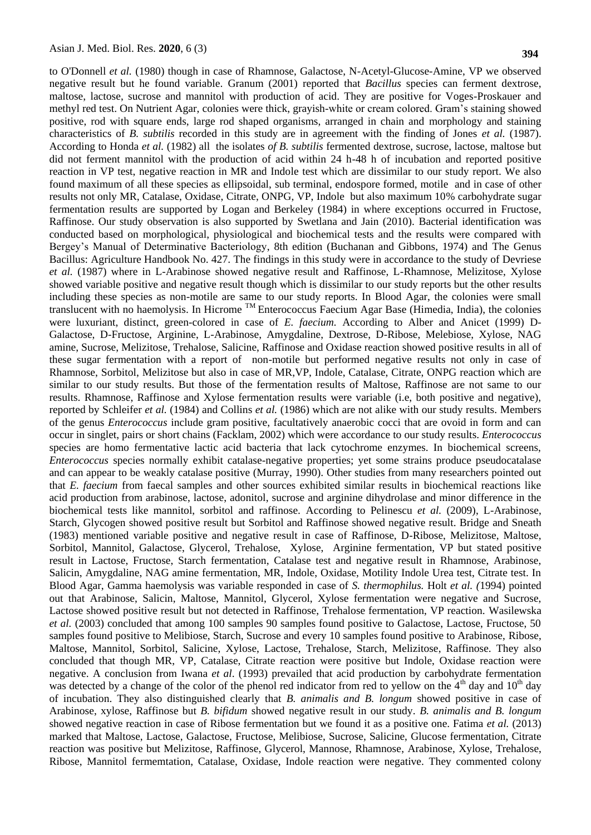to O'Donnell *et al.* (1980) though in case of Rhamnose, Galactose, N-Acetyl-Glucose-Amine, VP we observed negative result but he found variable. Granum (2001) reported that *Bacillus* species can ferment dextrose, maltose, lactose, sucrose and mannitol with production of acid. They are positive for Voges-Proskauer and methyl red test. On Nutrient Agar, colonies were thick, grayish-white or cream colored. Gram's staining showed positive, rod with square ends, large rod shaped organisms, arranged in chain and morphology and staining characteristics of *B. subtilis* recorded in this study are in agreement with the finding of Jones *et al.* (1987). According to Honda *et al.* (1982) all the isolates *of B. subtilis* fermented dextrose, sucrose, lactose, maltose but did not ferment mannitol with the production of acid within 24 h-48 h of incubation and reported positive reaction in VP test, negative reaction in MR and Indole test which are dissimilar to our study report. We also found maximum of all these species as ellipsoidal, sub terminal, endospore formed, motile and in case of other results not only MR, Catalase, Oxidase, Citrate, ONPG, VP, Indole but also maximum 10% carbohydrate sugar fermentation results are supported by Logan and Berkeley (1984) in where exceptions occurred in Fructose, Raffinose. Our study observation is also supported by Swetlana and Jain (2010). Bacterial identification was conducted based on morphological, physiological and biochemical tests and the results were compared with Bergey's Manual of Determinative Bacteriology, 8th edition (Buchanan and Gibbons, 1974) and The Genus Bacillus: Agriculture Handbook No. 427. The findings in this study were in accordance to the study of Devriese *et al.* (1987) where in L-Arabinose showed negative result and Raffinose, L-Rhamnose, Melizitose, Xylose showed variable positive and negative result though which is dissimilar to our study reports but the other results including these species as non-motile are same to our study reports. In Blood Agar, the colonies were small translucent with no haemolysis. In Hicrome TM Enterococcus Faecium Agar Base (Himedia, India), the colonies were luxuriant, distinct, green-colored in case of *E. faecium.* According to Alber and Anicet (1999) D-Galactose, D-Fructose, Arginine, L-Arabinose, Amygdaline, Dextrose, D-Ribose, Melebiose, Xylose, NAG amine, Sucrose, Melizitose, Trehalose, Salicine, Raffinose and Oxidase reaction showed positive results in all of these sugar fermentation with a report of non-motile but performed negative results not only in case of Rhamnose, Sorbitol, Melizitose but also in case of MR,VP, Indole, Catalase, Citrate, ONPG reaction which are similar to our study results. But those of the fermentation results of Maltose, Raffinose are not same to our results. Rhamnose, Raffinose and Xylose fermentation results were variable (i.e, both positive and negative), reported by Schleifer *et al.* (1984) and Collins *et al.* (1986) which are not alike with our study results. Members of the genus *Enterococcus* include gram positive, facultatively anaerobic cocci that are ovoid in form and can occur in singlet, pairs or short chains (Facklam, 2002) which were accordance to our study results. *Enterococcus*  species are homo fermentative lactic acid bacteria that lack cytochrome enzymes. In biochemical screens, *Enterococcus* species normally exhibit catalase-negative properties; yet some strains produce pseudocatalase and can appear to be weakly catalase positive (Murray, 1990). Other studies from many researchers pointed out that *E. faecium* from faecal samples and other sources exhibited similar results in biochemical reactions like acid production from arabinose, lactose, adonitol, sucrose and arginine dihydrolase and minor difference in the biochemical tests like mannitol, sorbitol and raffinose. According to Pelinescu *et al.* (2009), L-Arabinose, Starch, Glycogen showed positive result but Sorbitol and Raffinose showed negative result. Bridge and Sneath (1983) mentioned variable positive and negative result in case of Raffinose, D-Ribose, Melizitose, Maltose, Sorbitol, Mannitol, Galactose, Glycerol, Trehalose, Xylose, Arginine fermentation, VP but stated positive result in Lactose, Fructose, Starch fermentation, Catalase test and negative result in Rhamnose, Arabinose, Salicin, Amygdaline, NAG amine fermentation, MR, Indole, Oxidase, Motility Indole Urea test, Citrate test. In Blood Agar, Gamma haemolysis was variable responded in case of *S. thermophilus.* Holt *et al. (*1994) pointed out that Arabinose, Salicin, Maltose, Mannitol, Glycerol, Xylose fermentation were negative and Sucrose, Lactose showed positive result but not detected in Raffinose, Trehalose fermentation, VP reaction. Wasilewska *et al.* (2003) concluded that among 100 samples 90 samples found positive to Galactose, Lactose, Fructose, 50 samples found positive to Melibiose, Starch, Sucrose and every 10 samples found positive to Arabinose, Ribose, Maltose, Mannitol, Sorbitol, Salicine, Xylose, Lactose, Trehalose, Starch, Melizitose, Raffinose. They also concluded that though MR, VP, Catalase, Citrate reaction were positive but Indole, Oxidase reaction were negative. A conclusion from Iwana *et al*. (1993) prevailed that acid production by carbohydrate fermentation was detected by a change of the color of the phenol red indicator from red to yellow on the  $4<sup>th</sup>$  day and  $10<sup>th</sup>$  day of incubation. They also distinguished clearly that *B. animalis and B. longum* showed positive in case of Arabinose, xylose, Raffinose but *B. bifidum* showed negative result in our study. *B. animalis and B. longum*  showed negative reaction in case of Ribose fermentation but we found it as a positive one. Fatima *et al.* (2013) marked that Maltose, Lactose, Galactose, Fructose, Melibiose, Sucrose, Salicine, Glucose fermentation, Citrate reaction was positive but Melizitose, Raffinose, Glycerol, Mannose, Rhamnose, Arabinose, Xylose, Trehalose, Ribose, Mannitol fermemtation, Catalase, Oxidase, Indole reaction were negative. They commented colony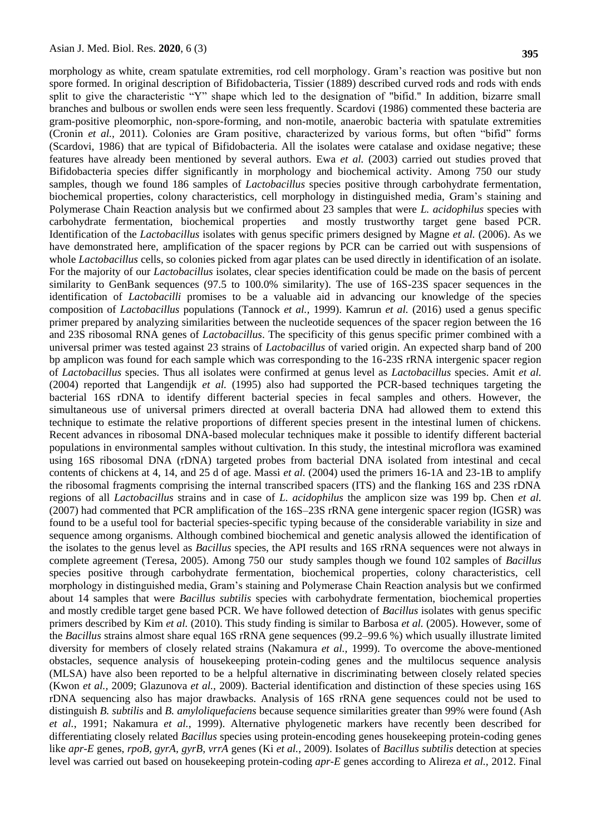morphology as white, cream spatulate extremities, rod cell morphology. Gram's reaction was positive but non spore formed. In original description of Bifidobacteria, Tissier (1889) described curved rods and rods with ends split to give the characteristic "Y" shape which led to the designation of "bifid." In addition, bizarre small branches and bulbous or swollen ends were seen less frequently. Scardovi (1986) commented these bacteria are gram-positive pleomorphic, non-spore-forming, and non-motile, anaerobic bacteria with spatulate extremities (Cronin *et al.,* 2011). Colonies are Gram positive, characterized by various forms, but often "bifid" forms (Scardovi, 1986) that are typical of Bifidobacteria. All the isolates were catalase and oxidase negative; these features have already been mentioned by several authors. Ewa *et al.* (2003) carried out studies proved that Bifidobacteria species differ significantly in morphology and biochemical activity. Among 750 our study samples, though we found 186 samples of *Lactobacillus* species positive through carbohydrate fermentation, biochemical properties, colony characteristics, cell morphology in distinguished media, Gram's staining and Polymerase Chain Reaction analysis but we confirmed about 23 samples that were *L. acidophilus* species with carbohydrate fermentation, biochemical properties and mostly trustworthy target gene based PCR. Identification of the *Lactobacillus* isolates with genus specific primers designed by Magne *et al.* (2006). As we have demonstrated here, amplification of the spacer regions by PCR can be carried out with suspensions of whole *Lactobacillus* cells, so colonies picked from agar plates can be used directly in identification of an isolate. For the majority of our *Lactobacillus* isolates, clear species identification could be made on the basis of percent similarity to GenBank sequences (97.5 to 100.0% similarity). The use of 16S-23S spacer sequences in the identification of *Lactobacilli* promises to be a valuable aid in advancing our knowledge of the species composition of *Lactobacillus* populations (Tannock *et al.,* 1999). Kamrun *et al.* (2016) used a genus specific primer prepared by analyzing similarities between the nucleotide sequences of the spacer region between the 16 and 23S ribosomal RNA genes of *Lactobacillus*. The specificity of this genus specific primer combined with a universal primer was tested against 23 strains of *Lactobacillus* of varied origin. An expected sharp band of 200 bp amplicon was found for each sample which was corresponding to the 16-23S rRNA intergenic spacer region of *Lactobacillus* species. Thus all isolates were confirmed at genus level as *Lactobacillus* species. Amit *et al.*  (2004) reported that Langendijk *et al.* (1995) also had supported the PCR-based techniques targeting the bacterial 16S rDNA to identify different bacterial species in fecal samples and others. However, the simultaneous use of universal primers directed at overall bacteria DNA had allowed them to extend this technique to estimate the relative proportions of different species present in the intestinal lumen of chickens. Recent advances in ribosomal DNA-based molecular techniques make it possible to identify different bacterial populations in environmental samples without cultivation. In this study, the intestinal microflora was examined using 16S ribosomal DNA (rDNA) targeted probes from bacterial DNA isolated from intestinal and cecal contents of chickens at 4, 14, and 25 d of age. Massi *et al.* (2004) used the primers 16-1A and 23-1B to amplify the ribosomal fragments comprising the internal transcribed spacers (ITS) and the flanking 16S and 23S rDNA regions of all *Lactobacillus* strains and in case of *L. acidophilus* the amplicon size was 199 bp. Chen *et al.*  (2007) had commented that PCR amplification of the 16S–23S rRNA gene intergenic spacer region (IGSR) was found to be a useful tool for bacterial species-specific typing because of the considerable variability in size and sequence among organisms. Although combined biochemical and genetic analysis allowed the identification of the isolates to the genus level as *Bacillus* species, the API results and 16S rRNA sequences were not always in complete agreement (Teresa, 2005). Among 750 our study samples though we found 102 samples of *Bacillus* species positive through carbohydrate fermentation, biochemical properties, colony characteristics, cell morphology in distinguished media, Gram's staining and Polymerase Chain Reaction analysis but we confirmed about 14 samples that were *Bacillus subtilis* species with carbohydrate fermentation, biochemical properties and mostly credible target gene based PCR. We have followed detection of *Bacillus* isolates with genus specific primers described by Kim *et al.* (2010). This study finding is similar to Barbosa *et al.* (2005). However, some of the *Bacillus* strains almost share equal 16S rRNA gene sequences (99.2–99.6 %) which usually illustrate limited diversity for members of closely related strains (Nakamura *et al.,* 1999). To overcome the above-mentioned obstacles, sequence analysis of housekeeping protein-coding genes and the multilocus sequence analysis (MLSA) have also been reported to be a helpful alternative in discriminating between closely related species (Kwon *et al.,* 2009; Glazunova *et al.,* 2009). Bacterial identification and distinction of these species using 16S rDNA sequencing also has major drawbacks. Analysis of 16S rRNA gene sequences could not be used to distinguish *B. subtilis* and *B. amyloliquefaciens* because sequence similarities greater than 99% were found (Ash *et al.*, 1991; Nakamura *et al.*, 1999). Alternative phylogenetic markers have recently been described for differentiating closely related *Bacillus* species using protein-encoding genes housekeeping protein-coding genes like *apr-E* genes, *rpoB, gyrA, gyrB, vrrA* genes (Ki *et al.*, 2009). Isolates of *Bacillus subtilis* detection at species level was carried out based on housekeeping protein-coding *apr-E* genes according to Alireza *et al.,* 2012. Final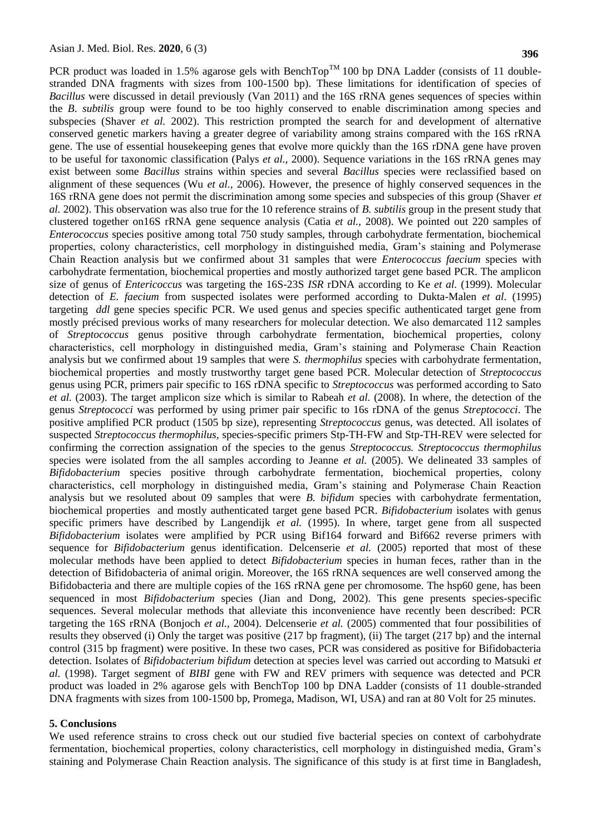PCR product was loaded in 1.5% agarose gels with BenchTop<sup>TM</sup> 100 bp DNA Ladder (consists of 11 doublestranded DNA fragments with sizes from 100-1500 bp). These limitations for identification of species of *Bacillus* were discussed in detail previously (Van 2011) and the 16S rRNA genes sequences of species within the *B*. *subtilis* group were found to be too highly conserved to enable discrimination among species and subspecies (Shaver *et al.* 2002). This restriction prompted the search for and development of alternative conserved genetic markers having a greater degree of variability among strains compared with the 16S rRNA gene. The use of essential housekeeping genes that evolve more quickly than the 16S rDNA gene have proven to be useful for taxonomic classification (Palys *et al.*, 2000). Sequence variations in the 16S rRNA genes may exist between some *Bacillus* strains within species and several *Bacillus* species were reclassified based on alignment of these sequences (Wu *et al.,* 2006). However, the presence of highly conserved sequences in the 16S rRNA gene does not permit the discrimination among some species and subspecies of this group (Shaver *et al.* 2002). This observation was also true for the 10 reference strains of *B. subtilis* group in the present study that clustered together on16S rRNA gene sequence analysis (Catia *et al.,* 2008). We pointed out 220 samples of *Enterococcus* species positive among total 750 study samples, through carbohydrate fermentation, biochemical properties, colony characteristics, cell morphology in distinguished media, Gram's staining and Polymerase Chain Reaction analysis but we confirmed about 31 samples that were *Enterococcus faecium* species with carbohydrate fermentation, biochemical properties and mostly authorized target gene based PCR. The amplicon size of genus of *Entericoccus* was targeting the 16S-23S *ISR* rDNA according to Ke *et al.* (1999). Molecular detection of *E. faecium* from suspected isolates were performed according to Dukta-Malen *et al.* (1995) targeting *ddl* gene species specific PCR. We used genus and species specific authenticated target gene from mostly précised previous works of many researchers for molecular detection. We also demarcated 112 samples of *Streptococcus* genus positive through carbohydrate fermentation, biochemical properties, colony characteristics, cell morphology in distinguished media, Gram's staining and Polymerase Chain Reaction analysis but we confirmed about 19 samples that were *S. thermophilus* species with carbohydrate fermentation, biochemical properties and mostly trustworthy target gene based PCR. Molecular detection of *Streptococcus*  genus using PCR, primers pair specific to 16S rDNA specific to *Streptococcus* was performed according to Sato *et al.* (2003). The target amplicon size which is similar to Rabeah *et al.* (2008). In where, the detection of the genus *Streptococci* was performed by using primer pair specific to 16s rDNA of the genus *Streptococci*. The positive amplified PCR product (1505 bp size), representing *Streptococcus* genus, was detected. All isolates of suspected *Streptococcus thermophilus,* species-specific primers Stp-TH-FW and Stp-TH-REV were selected for confirming the correction assignation of the species to the genus *Streptococcus. Streptococcus thermophilus*  species were isolated from the all samples according to Jeanne *et al.* (2005). We delineated 33 samples of *Bifidobacterium* species positive through carbohydrate fermentation, biochemical properties, colony characteristics, cell morphology in distinguished media, Gram's staining and Polymerase Chain Reaction analysis but we resoluted about 09 samples that were *B. bifidum* species with carbohydrate fermentation, biochemical properties and mostly authenticated target gene based PCR. *Bifidobacterium* isolates with genus specific primers have described by Langendijk *et al.* (1995). In where, target gene from all suspected *Bifidobacterium* isolates were amplified by PCR using Bif164 forward and Bif662 reverse primers with sequence for *Bifidobacterium* genus identification. Delcenserie *et al.* (2005) reported that most of these molecular methods have been applied to detect *Bifidobacterium* species in human feces, rather than in the detection of Bifidobacteria of animal origin. Moreover, the 16S rRNA sequences are well conserved among the Bifidobacteria and there are multiple copies of the 16S rRNA gene per chromosome. The hsp60 gene, has been sequenced in most *Bifidobacterium* species (Jian and Dong, 2002). This gene presents species-specific sequences. Several molecular methods that alleviate this inconvenience have recently been described: PCR targeting the 16S rRNA (Bonjoch *et al.,* 2004). Delcenserie *et al.* (2005) commented that four possibilities of results they observed (i) Only the target was positive (217 bp fragment), (ii) The target (217 bp) and the internal control (315 bp fragment) were positive. In these two cases, PCR was considered as positive for Bifidobacteria detection. Isolates of *Bifidobacterium bifidum* detection at species level was carried out according to Matsuki *et al.* (1998). Target segment of *BIBI* gene with FW and REV primers with sequence was detected and PCR product was loaded in 2% agarose gels with BenchTop 100 bp DNA Ladder (consists of 11 double-stranded DNA fragments with sizes from 100-1500 bp, Promega, Madison, WI, USA) and ran at 80 Volt for 25 minutes.

#### **5. Conclusions**

We used reference strains to cross check out our studied five bacterial species on context of carbohydrate fermentation, biochemical properties, colony characteristics, cell morphology in distinguished media, Gram's staining and Polymerase Chain Reaction analysis. The significance of this study is at first time in Bangladesh,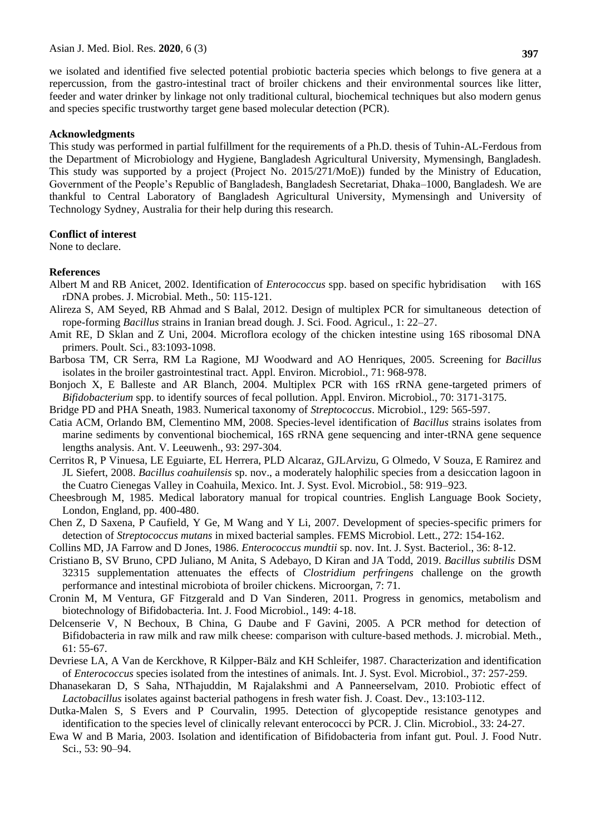we isolated and identified five selected potential probiotic bacteria species which belongs to five genera at a repercussion, from the gastro-intestinal tract of broiler chickens and their environmental sources like litter, feeder and water drinker by linkage not only traditional cultural, biochemical techniques but also modern genus and species specific trustworthy target gene based molecular detection (PCR).

#### **Acknowledgments**

This study was performed in partial fulfillment for the requirements of a Ph.D. thesis of Tuhin-AL-Ferdous from the Department of Microbiology and Hygiene, Bangladesh Agricultural University, Mymensingh, Bangladesh. This study was supported by a project (Project No. 2015/271/MoE)) funded by the Ministry of Education, Government of the People's Republic of Bangladesh, Bangladesh Secretariat, Dhaka–1000, Bangladesh. We are thankful to Central Laboratory of Bangladesh Agricultural University, Mymensingh and University of Technology Sydney, Australia for their help during this research.

### **Conflict of interest**

None to declare.

### **References**

- Albert M and RB Anicet, 2002. Identification of *Enterococcus* spp. based on specific hybridisation with 16S rDNA probes. J. Microbial. Meth., 50: 115-121.
- Alireza S, AM Seyed, RB Ahmad and S Balal, 2012. Design of multiplex PCR for simultaneous detection of rope-forming *Bacillus* strains in Iranian bread dough*.* J. Sci. Food. Agricul., 1: 22–27.
- Amit RE, D Sklan and Z Uni, 2004. Microflora ecology of the chicken intestine using 16S ribosomal DNA primers. Poult. Sci., 83:1093-1098.
- Barbosa TM, CR Serra, RM La Ragione, MJ Woodward and AO Henriques, 2005. Screening for *Bacillus* isolates in the broiler gastrointestinal tract. Appl. Environ. Microbiol., 71: 968-978.
- Bonjoch X, E Balleste and AR Blanch, 2004. Multiplex PCR with 16S rRNA gene-targeted primers of *Bifidobacterium* spp. to identify sources of fecal pollution. Appl. Environ. Microbiol., 70: 3171-3175.
- Bridge PD and PHA Sneath, 1983. Numerical taxonomy of *Streptococcus*. Microbiol., 129: 565-597.
- Catia ACM, Orlando BM, Clementino MM, 2008. Species-level identification of *Bacillus* strains isolates from marine sediments by conventional biochemical, 16S rRNA gene sequencing and inter-tRNA gene sequence lengths analysis. Ant. V. Leeuwenh., 93: 297-304.
- Cerritos R, P Vinuesa, LE Eguiarte, EL Herrera, PLD Alcaraz, GJLArvizu, G Olmedo, V Souza, E Ramirez and JL Siefert, 2008. *Bacillus coahuilensis* sp. nov., a moderately halophilic species from a desiccation lagoon in the Cuatro Cienegas Valley in Coahuila, Mexico. Int. J. Syst. Evol. Microbiol., 58: 919–923.
- Cheesbrough M, 1985. Medical laboratory manual for tropical countries. English Language Book Society, London, England, pp. 400-480.
- Chen Z, D Saxena, P Caufield, Y Ge, M Wang and Y Li, 2007. Development of species-specific primers for detection of *Streptococcus mutans* in mixed bacterial samples. FEMS Microbiol. Lett., 272: 154-162.
- Collins MD, JA Farrow and D Jones, 1986. *Enterococcus mundtii* sp. nov. Int. J. Syst. Bacteriol., 36: 8-12.
- Cristiano B, SV Bruno, CPD Juliano, M Anita, S Adebayo, D Kiran and JA Todd, 2019. *Bacillus subtilis* DSM 32315 supplementation attenuates the effects of *Clostridium perfringens* challenge on the growth performance and intestinal microbiota of broiler chickens. Microorgan, 7: 71.
- Cronin M, M Ventura, GF Fitzgerald and D Van Sinderen, 2011. Progress in genomics, metabolism and biotechnology of Bifidobacteria. Int. J. Food Microbiol., 149: 4-18.
- Delcenserie V, N Bechoux, B China, G Daube and F Gavini, 2005. A PCR method for detection of Bifidobacteria in raw milk and raw milk cheese: comparison with culture-based methods. J. microbial. Meth., 61: 55-67.
- Devriese LA, A Van de Kerckhove, R Kilpper-Bälz and KH Schleifer, 1987. Characterization and identification of *Enterococcus* species isolated from the intestines of animals. Int. J. Syst. Evol. Microbiol., 37: 257-259.
- Dhanasekaran D, S Saha, NThajuddin, M Rajalakshmi and A Panneerselvam, 2010. Probiotic effect of *Lactobacillus* isolates against bacterial pathogens in fresh water fish. J. Coast. Dev., 13:103-112.
- Dutka-Malen S, S Evers and P Courvalin, 1995. Detection of glycopeptide resistance genotypes and identification to the species level of clinically relevant enterococci by PCR. J. Clin. Microbiol., 33: 24-27.
- Ewa W and B Maria, 2003. Isolation and identification of Bifidobacteria from infant gut. Poul. J. Food Nutr. Sci., 53: 90–94.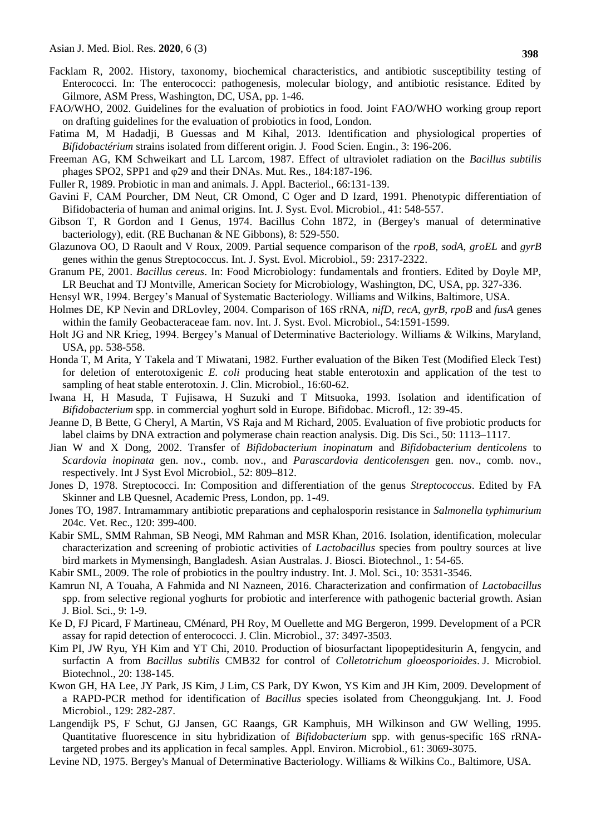- Facklam R, 2002. History, taxonomy, biochemical characteristics, and antibiotic susceptibility testing of Enterococci. In: The enterococci: pathogenesis, molecular biology, and antibiotic resistance. Edited by Gilmore, ASM Press, Washington, DC, USA, pp. 1-46.
- FAO/WHO, 2002. Guidelines for the evaluation of probiotics in food. Joint FAO/WHO working group report on drafting guidelines for the evaluation of probiotics in food, London.
- Fatima M, M Hadadji, B Guessas and M Kihal, 2013. Identification and physiological properties of *Bifidobactérium* strains isolated from different origin. J. Food Scien. Engin*.*, 3: 196-206.
- Freeman AG, KM Schweikart and LL Larcom, 1987. Effect of ultraviolet radiation on the *Bacillus subtilis* phages SPO2, SPP1 and φ29 and their DNAs. Mut. Res., 184:187-196.
- Fuller R, 1989. Probiotic in man and animals. J. Appl. Bacteriol., 66:131-139.
- Gavini F, CAM Pourcher, DM Neut, CR Omond, C Oger and D Izard, 1991. Phenotypic differentiation of Bifidobacteria of human and animal origins. Int. J. Syst. Evol. Microbiol., 41: 548-557.
- Gibson T, R Gordon and I Genus, 1974. Bacillus Cohn 1872, in (Bergey's manual of determinative bacteriology), edit. (RE Buchanan & NE Gibbons), 8: 529-550.
- Glazunova OO, D Raoult and V Roux, 2009. Partial sequence comparison of the *rpoB*, *sodA*, *groEL* and *gyrB* genes within the genus Streptococcus. Int. J. Syst. Evol. Microbiol., 59: 2317-2322.
- Granum PE, 2001. *Bacillus cereus*. In: Food Microbiology: fundamentals and frontiers. Edited by Doyle MP, LR Beuchat and TJ Montville, American Society for Microbiology, Washington, DC, USA, pp. 327-336.
- Hensyl WR, 1994. Bergey's Manual of Systematic Bacteriology. Williams and Wilkins, Baltimore, USA.
- Holmes DE, KP Nevin and DRLovley, 2004. Comparison of 16S rRNA, *nifD*, *recA*, *gyrB*, *rpoB* and *fusA* genes within the family Geobacteraceae fam. nov. Int. J. Syst. Evol. Microbiol., 54:1591-1599.
- Holt JG and NR Krieg, 1994. Bergey's Manual of Determinative Bacteriology. Williams & Wilkins, Maryland, USA, pp. 538-558.
- Honda T, M Arita, Y Takela and T Miwatani, 1982. Further evaluation of the Biken Test (Modified Eleck Test) for deletion of enterotoxigenic *E. coli* producing heat stable enterotoxin and application of the test to sampling of heat stable enterotoxin. J. Clin. Microbiol., 16:60-62.
- Iwana H, H Masuda, T Fujisawa, H Suzuki and T Mitsuoka, 1993. Isolation and identification of *Bifidobacterium* spp. in commercial yoghurt sold in Europe. Bifidobac. Microfl., 12: 39-45.
- Jeanne D, B Bette, G Cheryl, A Martin, VS Raja and M Richard, 2005. Evaluation of five probiotic products for label claims by DNA extraction and polymerase chain reaction analysis. Dig. Dis Sci., 50: 1113–1117.
- Jian W and X Dong, 2002. Transfer of *Bifidobacterium inopinatum* and *Bifidobacterium denticolens* to *Scardovia inopinata* gen. nov., comb. nov., and *Parascardovia denticolensgen* gen. nov., comb. nov., respectively. Int J Syst Evol Microbiol., 52: 809–812.
- Jones D, 1978. Streptococci. In: Composition and differentiation of the genus *Streptococcus*. Edited by FA Skinner and LB Quesnel, Academic Press, London, pp. 1-49.
- Jones TO, 1987. Intramammary antibiotic preparations and cephalosporin resistance in *Salmonella typhimurium* 204c. Vet. Rec., 120: 399-400.
- Kabir SML, SMM Rahman, SB Neogi, MM Rahman and MSR Khan, 2016. Isolation, identification, molecular characterization and screening of probiotic activities of *Lactobacillus* species from poultry sources at live bird markets in Mymensingh, Bangladesh. Asian Australas. J. Biosci. Biotechnol., 1: 54-65.
- Kabir SML, 2009. The role of probiotics in the poultry industry. Int. J. Mol. Sci., 10: 3531-3546.
- Kamrun NI, A Touaha, A Fahmida and NI Nazneen, 2016. Characterization and confirmation of *Lactobacillus* spp. from selective regional yoghurts for probiotic and interference with pathogenic bacterial growth. Asian J. Biol. Sci., 9: 1-9.
- Ke D, FJ Picard, F Martineau, CMénard, PH Roy, M Ouellette and MG Bergeron, 1999. Development of a PCR assay for rapid detection of enterococci. J. Clin. Microbiol., 37: 3497-3503.
- Kim PI, JW Ryu, YH Kim and YT Chi, 2010. Production of biosurfactant lipopeptidesiturin A, fengycin, and surfactin A from *Bacillus subtilis* CMB32 for control of *Colletotrichum gloeosporioides*. J. Microbiol. Biotechnol., 20: 138-145.
- Kwon GH, HA Lee, JY Park, JS Kim, J Lim, CS Park, DY Kwon, YS Kim and JH Kim, 2009. Development of a RAPD-PCR method for identification of *Bacillus* species isolated from Cheonggukjang. Int. J. Food Microbiol., 129: 282-287.
- Langendijk PS, F Schut, GJ Jansen, GC Raangs, GR Kamphuis, MH Wilkinson and GW Welling, 1995. Quantitative fluorescence in situ hybridization of *Bifidobacterium* spp. with genus-specific 16S rRNAtargeted probes and its application in fecal samples. Appl. Environ. Microbiol., 61: 3069-3075.
- Levine ND, 1975. Bergey's Manual of Determinative Bacteriology. Williams & Wilkins Co., Baltimore, USA.